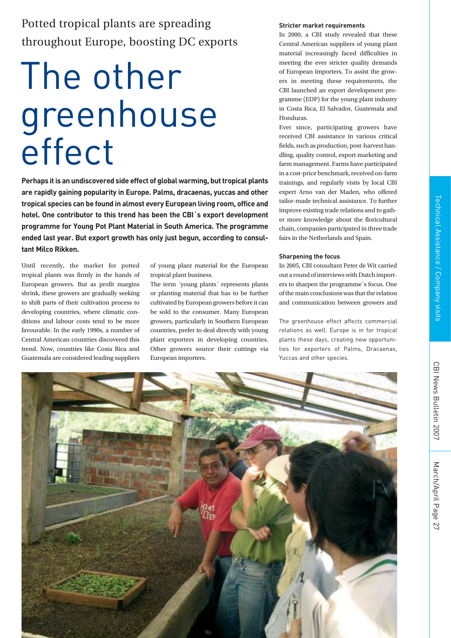# The other greenhouse effect

**Perhaps it is an undiscovered side effect of global warming, but tropical plants are rapidly gaining popularity in Europe. Palms, dracaenas, yuccas and other tropical species can be found in almost every European living room, office and hotel. One contributor to this trend has been the CBI´s export development programme for Young Pot Plant Material in South America. The programme ended last year. But export growth has only just begun, according to consultant Milco Rikken.** 

Until recently, the market for potted tropical plants was firmly in the hands of European growers. But as profit margins shrink, these growers are gradually seeking to shift parts of their cultivation process to developing countries, where climatic conditions and labour costs tend to be more favourable. In the early 1990s, a number of Central American countries discovered this trend. Now, countries like Costa Rica and Guatemala are considered leading suppliers

of young plant material for the European tropical plant business.

The term ´young plants´ represents plants or planting material that has to be further cultivated by European growers before it can be sold to the consumer. Many European growers, particularly in Southern European countries, prefer to deal directly with young plant exporters in developing countries. Other growers source their cuttings via European importers.

## **Stricter market requirements**

In 2000, a CBI study revealed that these Central American suppliers of young plant material increasingly faced difficulties in meeting the ever stricter quality demands of European importers. To assist the growers in meeting these requirements, the CBI launched an export development programme (EDP) for the young plant industry in Costa Rica, El Salvador, Guatemala and Honduras.

Ever since, participating growers have received CBI assistance in various critical fields, such as production, post-harvest handling, quality control, export marketing and farm management. Farms have participated in a cost-price benchmark, received on-farm trainings, and regularly visits by local CBI expert Arno van der Maden, who offered tailor-made technical assistance. To further improve existing trade relations and to gather more knowledge about the floricultural chain, companies participated in three trade fairs in the Netherlands and Spain.

### **Sharpening the focus**

In 2005, CBI consultant Peter de Wit carried out a round of interviews with Dutch importers to sharpen the programme´s focus. One of the main conclusions was that the relation and communication between growers and

The greenhouse effect affects commercial relations as well. Europe is in for tropical plants these days, creating new opportunities for exporters of Palms, Dracaenas, Yuccas and other species.